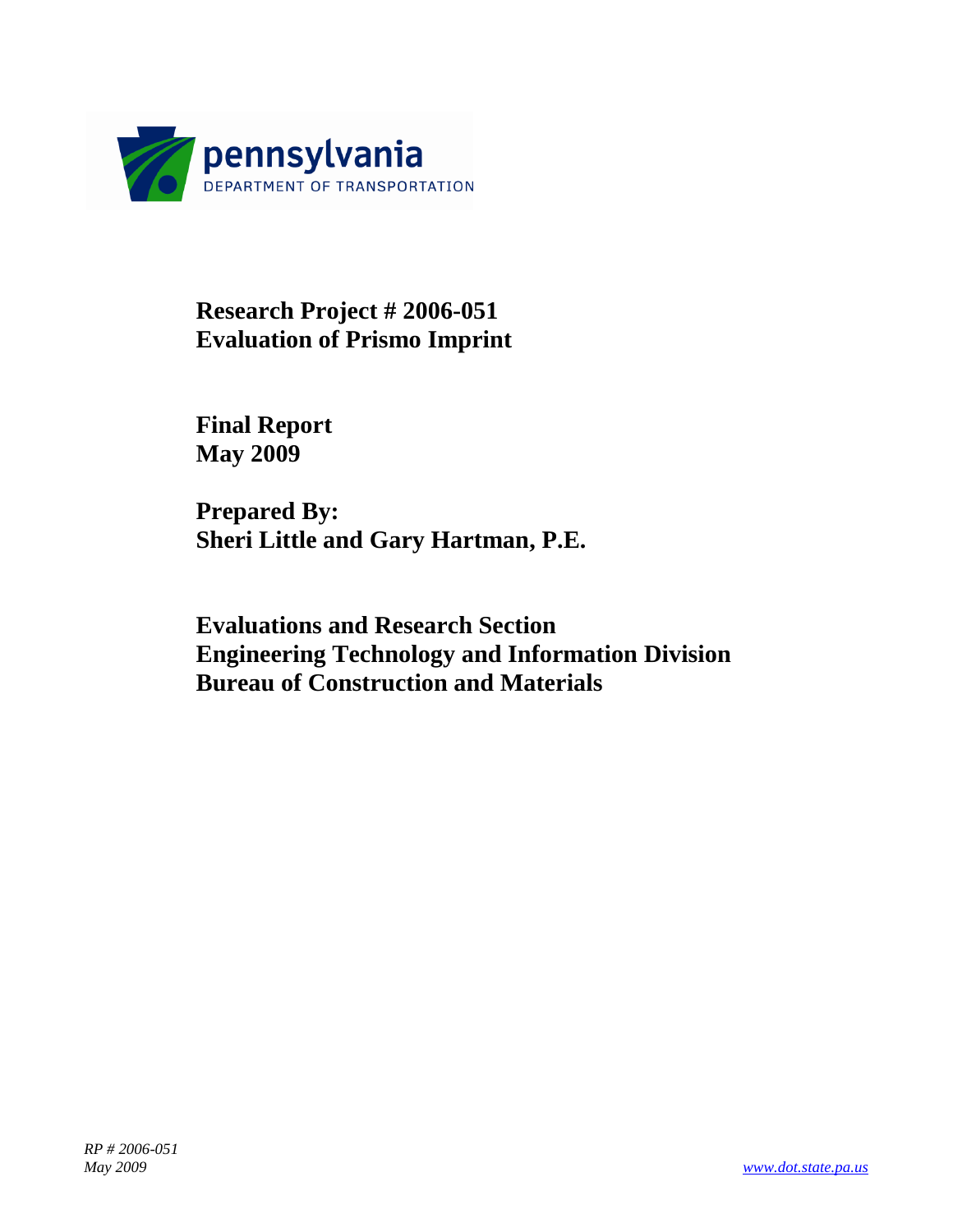

**Research Project # 2006-051 Evaluation of Prismo Imprint**

**Final Report May 2009**

**Prepared By: Sheri Little and Gary Hartman, P.E.**

**Evaluations and Research Section Engineering Technology and Information Division Bureau of Construction and Materials**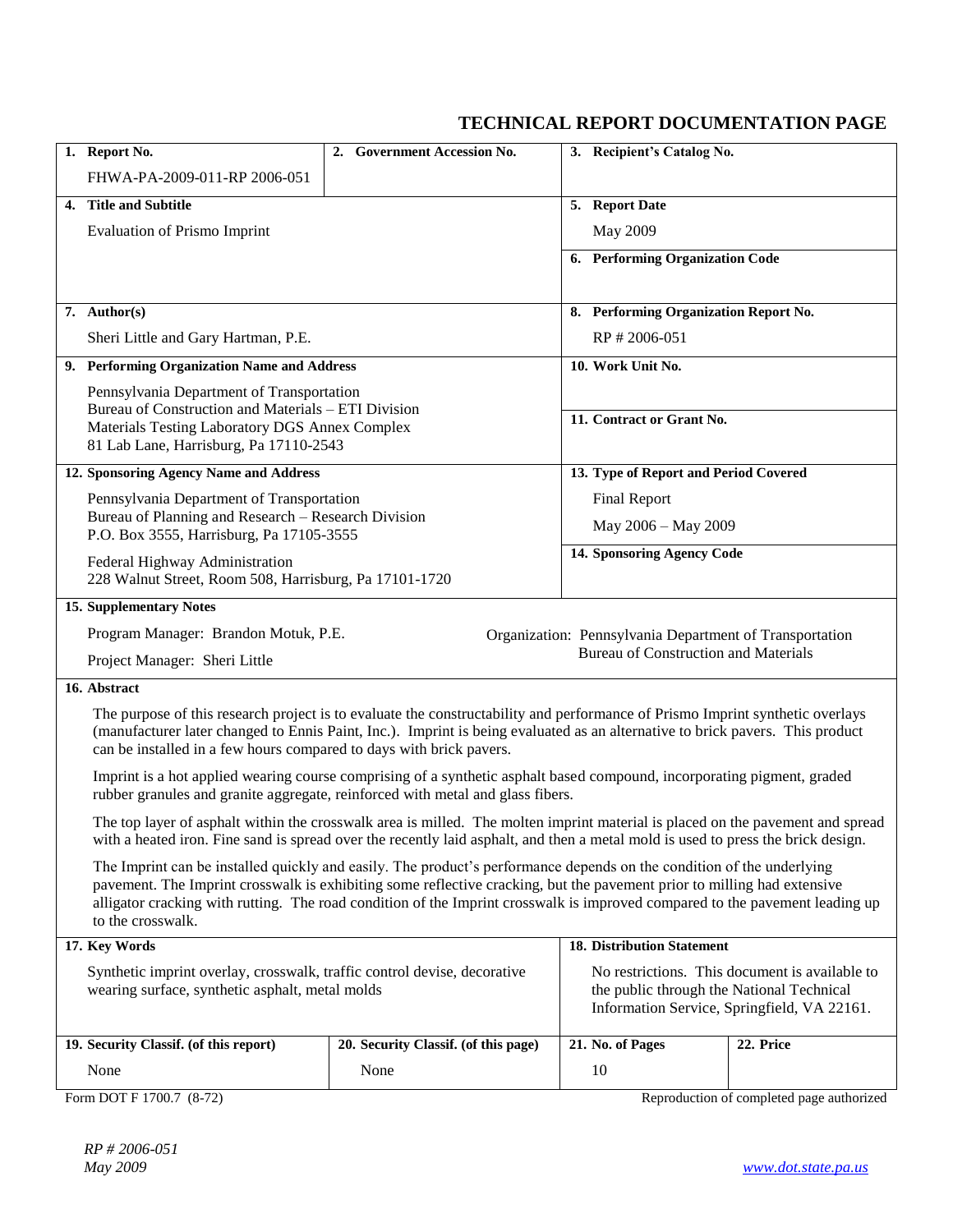# **TECHNICAL REPORT DOCUMENTATION PAGE**

|                               | 1. Report No.<br>FHWA-PA-2009-011-RP 2006-051                                                                                                      | 2. Government Accession No.                                                                                                                                                                                                                                                                                                                                                      | 3. Recipient's Catalog No.                              |                                                                                               |  |  |  |
|-------------------------------|----------------------------------------------------------------------------------------------------------------------------------------------------|----------------------------------------------------------------------------------------------------------------------------------------------------------------------------------------------------------------------------------------------------------------------------------------------------------------------------------------------------------------------------------|---------------------------------------------------------|-----------------------------------------------------------------------------------------------|--|--|--|
|                               |                                                                                                                                                    |                                                                                                                                                                                                                                                                                                                                                                                  |                                                         |                                                                                               |  |  |  |
|                               | 4. Title and Subtitle                                                                                                                              |                                                                                                                                                                                                                                                                                                                                                                                  | 5. Report Date                                          |                                                                                               |  |  |  |
|                               | <b>Evaluation of Prismo Imprint</b>                                                                                                                |                                                                                                                                                                                                                                                                                                                                                                                  | May 2009                                                |                                                                                               |  |  |  |
|                               |                                                                                                                                                    |                                                                                                                                                                                                                                                                                                                                                                                  | 6. Performing Organization Code                         |                                                                                               |  |  |  |
|                               | 7. Author(s)                                                                                                                                       |                                                                                                                                                                                                                                                                                                                                                                                  | 8. Performing Organization Report No.                   |                                                                                               |  |  |  |
|                               | Sheri Little and Gary Hartman, P.E.                                                                                                                |                                                                                                                                                                                                                                                                                                                                                                                  | RP #2006-051                                            |                                                                                               |  |  |  |
|                               | 9. Performing Organization Name and Address                                                                                                        |                                                                                                                                                                                                                                                                                                                                                                                  | 10. Work Unit No.                                       |                                                                                               |  |  |  |
|                               | Pennsylvania Department of Transportation<br>Bureau of Construction and Materials - ETI Division<br>Materials Testing Laboratory DGS Annex Complex |                                                                                                                                                                                                                                                                                                                                                                                  | 11. Contract or Grant No.                               |                                                                                               |  |  |  |
|                               | 81 Lab Lane, Harrisburg, Pa 17110-2543                                                                                                             |                                                                                                                                                                                                                                                                                                                                                                                  |                                                         |                                                                                               |  |  |  |
|                               | 12. Sponsoring Agency Name and Address                                                                                                             |                                                                                                                                                                                                                                                                                                                                                                                  | 13. Type of Report and Period Covered                   |                                                                                               |  |  |  |
|                               | Pennsylvania Department of Transportation                                                                                                          |                                                                                                                                                                                                                                                                                                                                                                                  | <b>Final Report</b>                                     |                                                                                               |  |  |  |
|                               | Bureau of Planning and Research - Research Division<br>P.O. Box 3555, Harrisburg, Pa 17105-3555                                                    |                                                                                                                                                                                                                                                                                                                                                                                  | May 2006 - May 2009                                     |                                                                                               |  |  |  |
|                               | Federal Highway Administration<br>228 Walnut Street, Room 508, Harrisburg, Pa 17101-1720                                                           |                                                                                                                                                                                                                                                                                                                                                                                  | 14. Sponsoring Agency Code                              |                                                                                               |  |  |  |
|                               | <b>15. Supplementary Notes</b>                                                                                                                     |                                                                                                                                                                                                                                                                                                                                                                                  |                                                         |                                                                                               |  |  |  |
|                               | Program Manager: Brandon Motuk, P.E.                                                                                                               |                                                                                                                                                                                                                                                                                                                                                                                  | Organization: Pennsylvania Department of Transportation |                                                                                               |  |  |  |
| Project Manager: Sheri Little |                                                                                                                                                    |                                                                                                                                                                                                                                                                                                                                                                                  | <b>Bureau of Construction and Materials</b>             |                                                                                               |  |  |  |
|                               | 16. Abstract                                                                                                                                       |                                                                                                                                                                                                                                                                                                                                                                                  |                                                         |                                                                                               |  |  |  |
|                               |                                                                                                                                                    | The purpose of this research project is to evaluate the constructability and performance of Prismo Imprint synthetic overlays<br>(manufacturer later changed to Ennis Paint, Inc.). Imprint is being evaluated as an alternative to brick pavers. This product<br>can be installed in a few hours compared to days with brick pavers.                                            |                                                         |                                                                                               |  |  |  |
|                               |                                                                                                                                                    |                                                                                                                                                                                                                                                                                                                                                                                  |                                                         |                                                                                               |  |  |  |
|                               |                                                                                                                                                    | Imprint is a hot applied wearing course comprising of a synthetic asphalt based compound, incorporating pigment, graded<br>rubber granules and granite aggregate, reinforced with metal and glass fibers.                                                                                                                                                                        |                                                         |                                                                                               |  |  |  |
|                               |                                                                                                                                                    | The top layer of asphalt within the crosswalk area is milled. The molten imprint material is placed on the pavement and spread<br>with a heated iron. Fine sand is spread over the recently laid asphalt, and then a metal mold is used to press the brick design.                                                                                                               |                                                         |                                                                                               |  |  |  |
|                               | to the crosswalk.                                                                                                                                  | The Imprint can be installed quickly and easily. The product's performance depends on the condition of the underlying<br>pavement. The Imprint crosswalk is exhibiting some reflective cracking, but the pavement prior to milling had extensive<br>alligator cracking with rutting. The road condition of the Imprint crosswalk is improved compared to the pavement leading up |                                                         |                                                                                               |  |  |  |
|                               | 17. Key Words                                                                                                                                      |                                                                                                                                                                                                                                                                                                                                                                                  | <b>18. Distribution Statement</b>                       |                                                                                               |  |  |  |
|                               | Synthetic imprint overlay, crosswalk, traffic control devise, decorative<br>wearing surface, synthetic asphalt, metal molds                        |                                                                                                                                                                                                                                                                                                                                                                                  | the public through the National Technical               | No restrictions. This document is available to<br>Information Service, Springfield, VA 22161. |  |  |  |
|                               | 19. Security Classif. (of this report)                                                                                                             | 20. Security Classif. (of this page)                                                                                                                                                                                                                                                                                                                                             | 21. No. of Pages                                        | 22. Price                                                                                     |  |  |  |
|                               | None                                                                                                                                               | None                                                                                                                                                                                                                                                                                                                                                                             |                                                         |                                                                                               |  |  |  |
|                               | Form DOT F 1700.7 (8-72)                                                                                                                           |                                                                                                                                                                                                                                                                                                                                                                                  | 10                                                      | Reproduction of completed page authorized                                                     |  |  |  |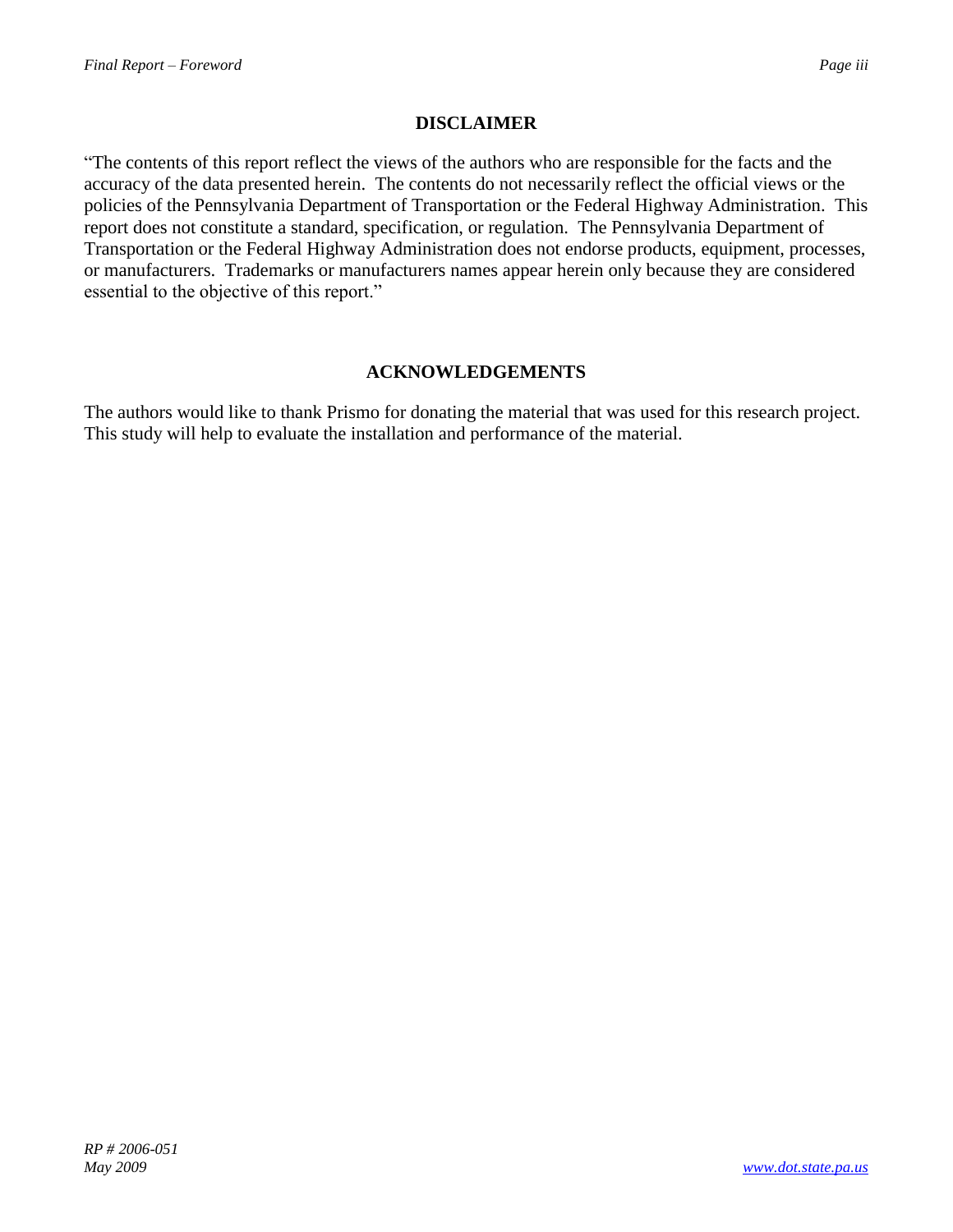#### **DISCLAIMER**

"The contents of this report reflect the views of the authors who are responsible for the facts and the accuracy of the data presented herein. The contents do not necessarily reflect the official views or the policies of the Pennsylvania Department of Transportation or the Federal Highway Administration. This report does not constitute a standard, specification, or regulation. The Pennsylvania Department of Transportation or the Federal Highway Administration does not endorse products, equipment, processes, or manufacturers. Trademarks or manufacturers names appear herein only because they are considered essential to the objective of this report."

#### **ACKNOWLEDGEMENTS**

The authors would like to thank Prismo for donating the material that was used for this research project. This study will help to evaluate the installation and performance of the material.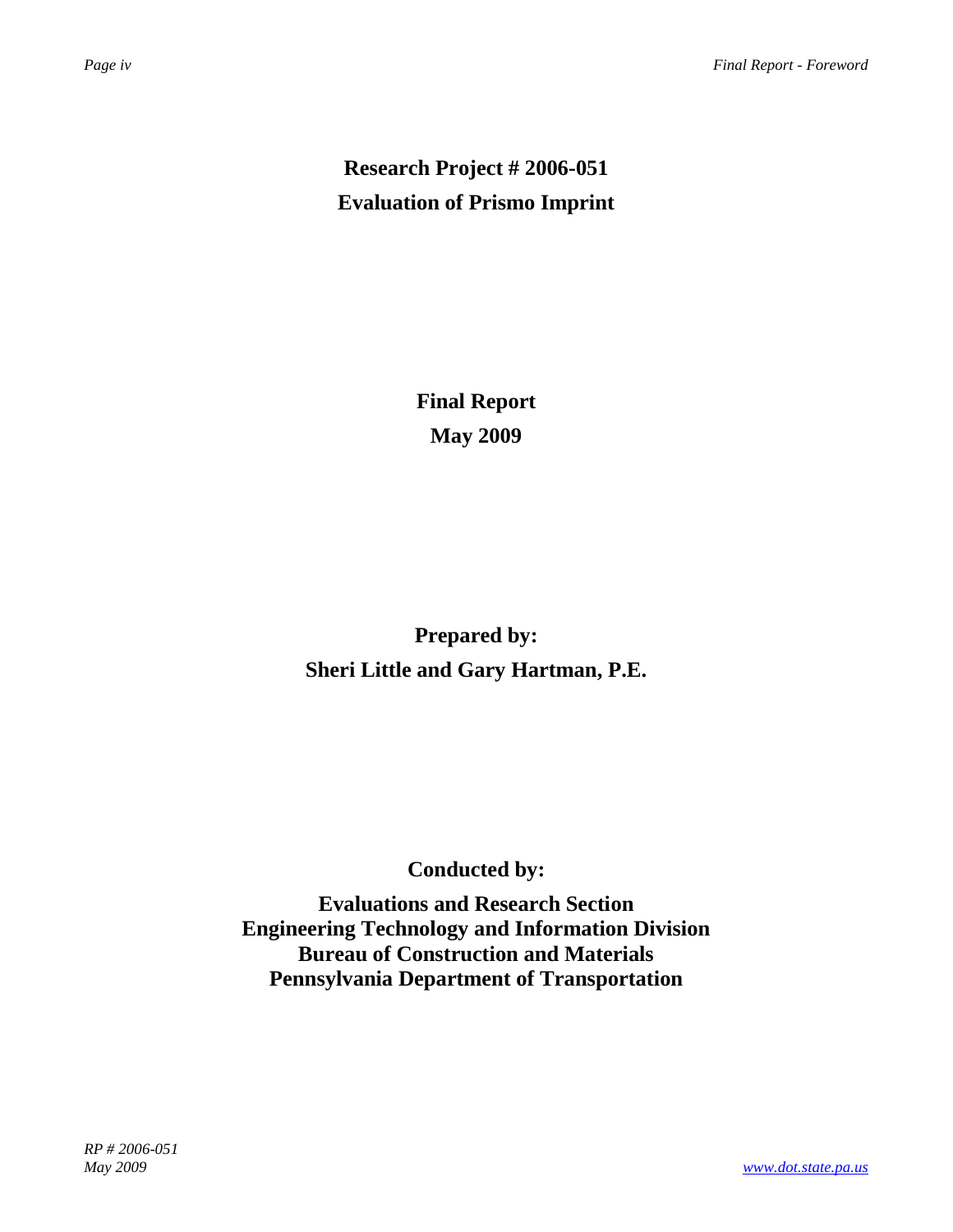**Research Project # 2006-051 Evaluation of Prismo Imprint**

> **Final Report May 2009**

**Prepared by: Sheri Little and Gary Hartman, P.E.**

**Conducted by:**

**Evaluations and Research Section Engineering Technology and Information Division Bureau of Construction and Materials Pennsylvania Department of Transportation**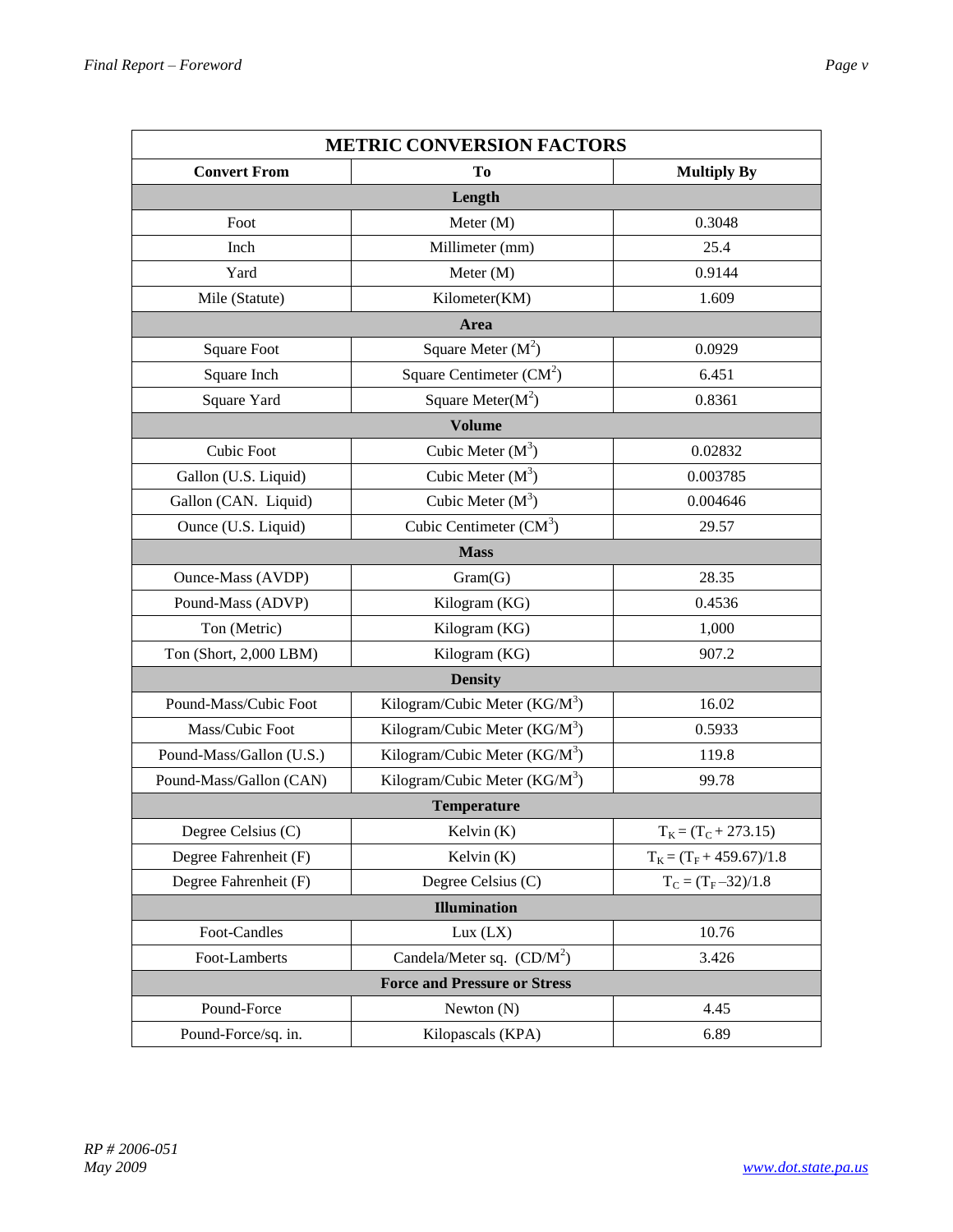| <b>METRIC CONVERSION FACTORS</b> |                                           |                            |  |  |  |  |
|----------------------------------|-------------------------------------------|----------------------------|--|--|--|--|
| <b>Convert From</b>              | To                                        | <b>Multiply By</b>         |  |  |  |  |
| Length                           |                                           |                            |  |  |  |  |
| Foot                             | Meter $(M)$                               | 0.3048                     |  |  |  |  |
| Inch                             | Millimeter (mm)                           | 25.4                       |  |  |  |  |
| Yard                             | Meter (M)                                 | 0.9144                     |  |  |  |  |
| Mile (Statute)                   | Kilometer(KM)                             | 1.609                      |  |  |  |  |
|                                  | Area                                      |                            |  |  |  |  |
| <b>Square Foot</b>               | Square Meter $(M^2)$                      | 0.0929                     |  |  |  |  |
| Square Inch                      | Square Centimeter $(CM2)$                 | 6.451                      |  |  |  |  |
| Square Yard                      | Square Meter $(M^2)$                      | 0.8361                     |  |  |  |  |
|                                  | <b>Volume</b>                             |                            |  |  |  |  |
| <b>Cubic Foot</b>                | Cubic Meter $(M^3)$                       | 0.02832                    |  |  |  |  |
| Gallon (U.S. Liquid)             | Cubic Meter $(M^3)$                       | 0.003785                   |  |  |  |  |
| Gallon (CAN. Liquid)             | Cubic Meter $(M^3)$                       | 0.004646                   |  |  |  |  |
| Ounce (U.S. Liquid)              | Cubic Centimeter $(CM^3)$                 | 29.57                      |  |  |  |  |
|                                  | <b>Mass</b>                               |                            |  |  |  |  |
| Ounce-Mass (AVDP)                | Gram(G)                                   | 28.35                      |  |  |  |  |
| Pound-Mass (ADVP)                | Kilogram (KG)                             | 0.4536                     |  |  |  |  |
| Ton (Metric)                     | Kilogram (KG)                             | 1,000                      |  |  |  |  |
| Ton (Short, 2,000 LBM)           | Kilogram (KG)                             | 907.2                      |  |  |  |  |
|                                  | <b>Density</b>                            |                            |  |  |  |  |
| Pound-Mass/Cubic Foot            | Kilogram/Cubic Meter $(KG/M^3)$           | 16.02                      |  |  |  |  |
| Mass/Cubic Foot                  | Kilogram/Cubic Meter (KG/M <sup>3</sup> ) | 0.5933                     |  |  |  |  |
| Pound-Mass/Gallon (U.S.)         | Kilogram/Cubic Meter (KG/M <sup>3</sup> ) | 119.8                      |  |  |  |  |
| Pound-Mass/Gallon (CAN)          | Kilogram/Cubic Meter (KG/M <sup>3</sup> ) | 99.78                      |  |  |  |  |
|                                  | <b>Temperature</b>                        |                            |  |  |  |  |
| Degree Celsius (C)               | Kelvin (K)                                | $T_K = (T_C + 273.15)$     |  |  |  |  |
| Degree Fahrenheit (F)            | Kelvin $(K)$                              | $T_K = (T_F + 459.67)/1.8$ |  |  |  |  |
| Degree Fahrenheit (F)            | Degree Celsius (C)                        | $T_C = (T_F - 32)/1.8$     |  |  |  |  |
|                                  | <b>Illumination</b>                       |                            |  |  |  |  |
| Foot-Candles                     | Lux (LX)                                  | 10.76                      |  |  |  |  |
| Foot-Lamberts                    | Candela/Meter sq. $(CD/M^2)$              | 3.426                      |  |  |  |  |
|                                  | <b>Force and Pressure or Stress</b>       |                            |  |  |  |  |
| Pound-Force                      | Newton $(N)$                              | 4.45                       |  |  |  |  |
| Pound-Force/sq. in.              | Kilopascals (KPA)                         | 6.89                       |  |  |  |  |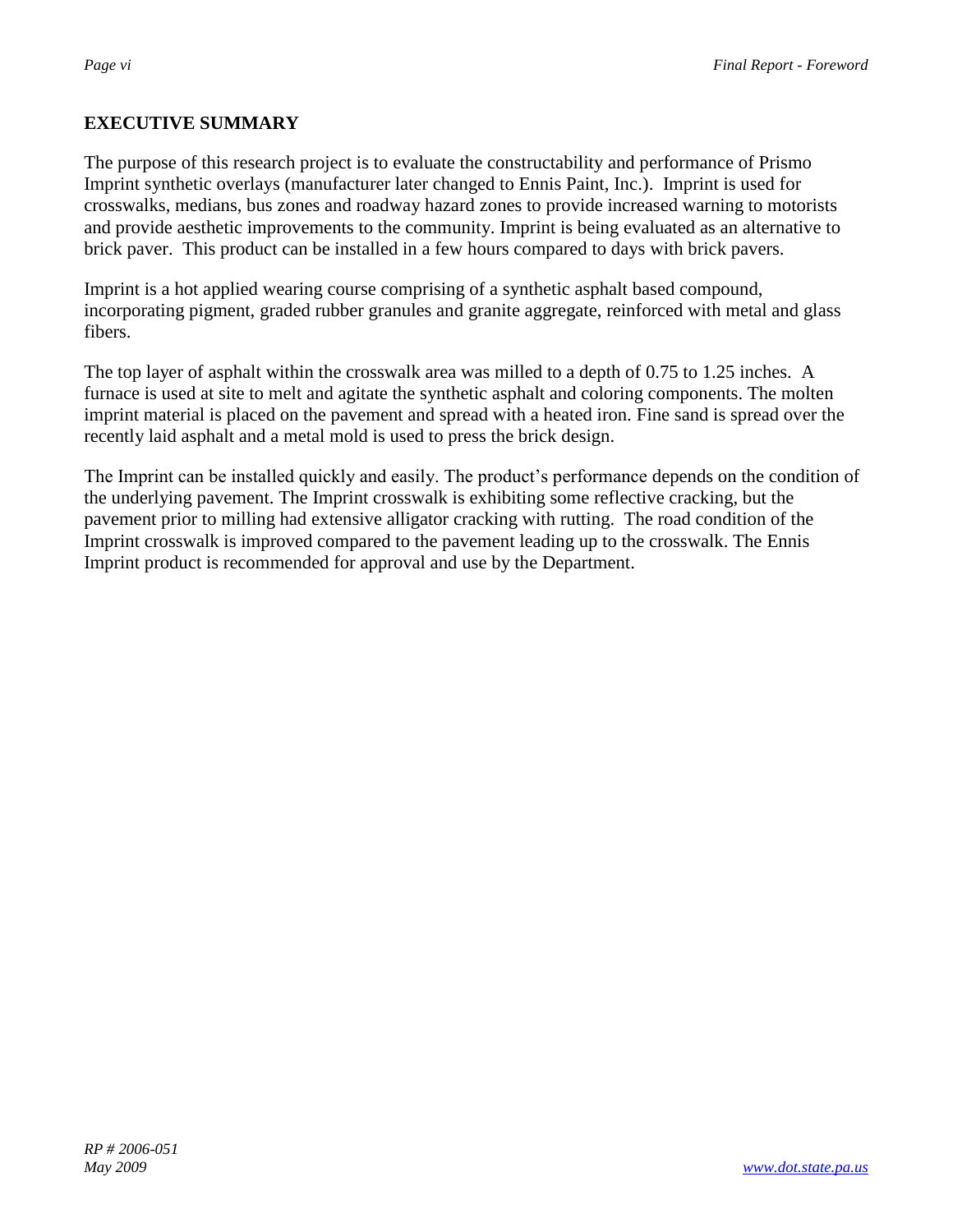### **EXECUTIVE SUMMARY**

The purpose of this research project is to evaluate the constructability and performance of Prismo Imprint synthetic overlays (manufacturer later changed to Ennis Paint, Inc.). Imprint is used for crosswalks, medians, bus zones and roadway hazard zones to provide increased warning to motorists and provide aesthetic improvements to the community. Imprint is being evaluated as an alternative to brick paver. This product can be installed in a few hours compared to days with brick pavers.

Imprint is a hot applied wearing course comprising of a synthetic asphalt based compound, incorporating pigment, graded rubber granules and granite aggregate, reinforced with metal and glass fibers.

The top layer of asphalt within the crosswalk area was milled to a depth of 0.75 to 1.25 inches. A furnace is used at site to melt and agitate the synthetic asphalt and coloring components. The molten imprint material is placed on the pavement and spread with a heated iron. Fine sand is spread over the recently laid asphalt and a metal mold is used to press the brick design.

The Imprint can be installed quickly and easily. The product's performance depends on the condition of the underlying pavement. The Imprint crosswalk is exhibiting some reflective cracking, but the pavement prior to milling had extensive alligator cracking with rutting. The road condition of the Imprint crosswalk is improved compared to the pavement leading up to the crosswalk. The Ennis Imprint product is recommended for approval and use by the Department.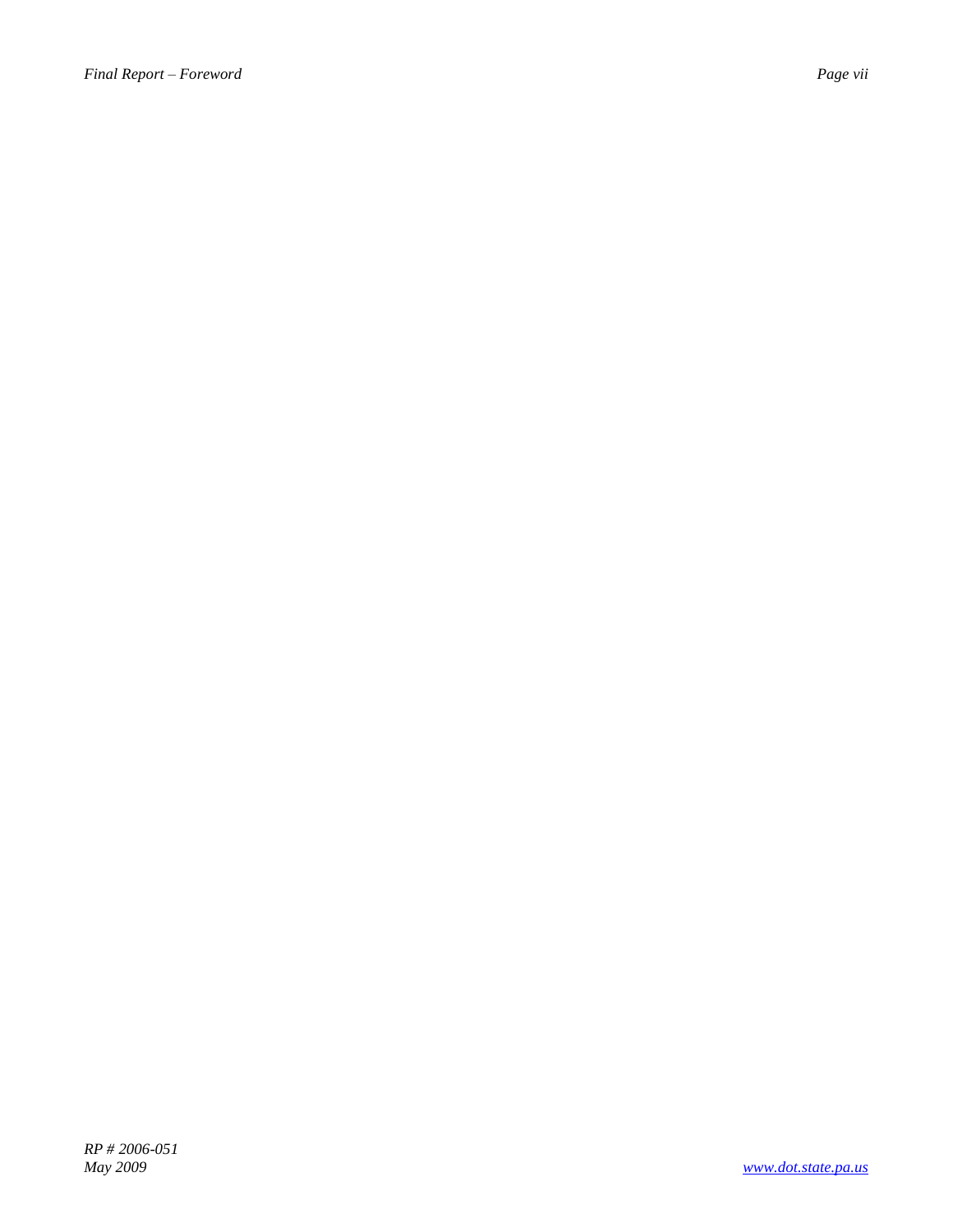*Final Report – Foreword Page vii*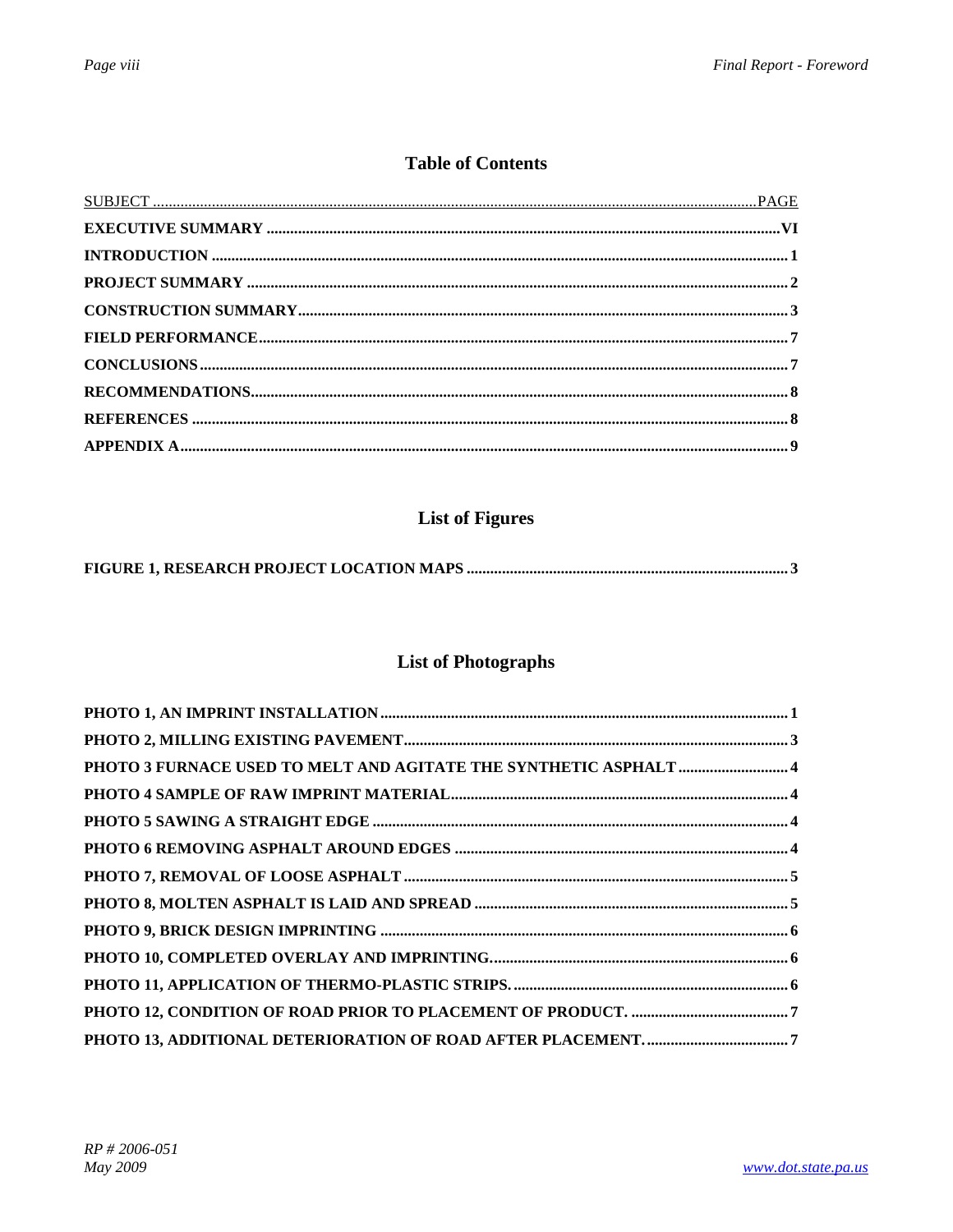# **Table of Contents**

# **List of Figures**

|--|

# **List of Photographs**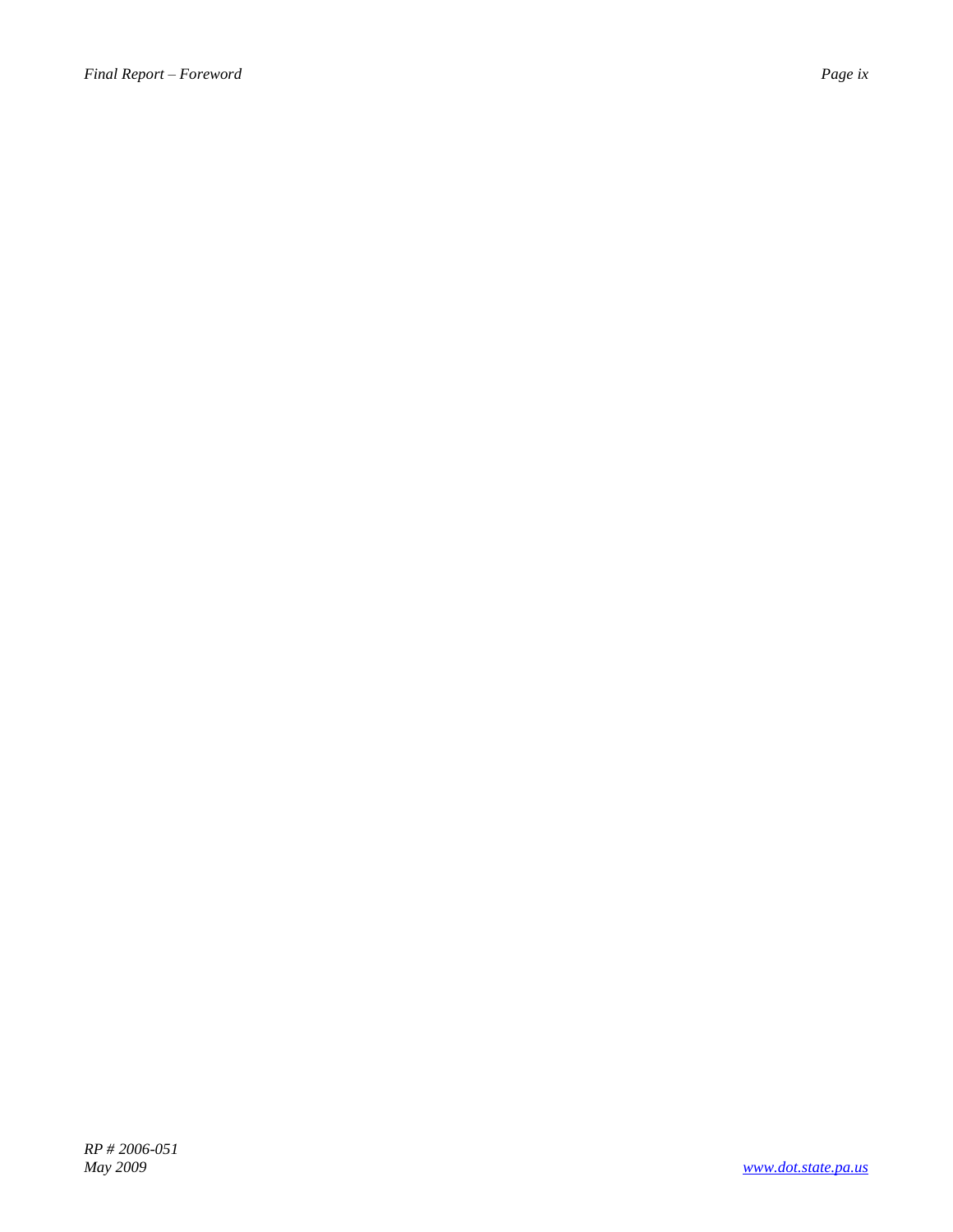*Final Report – Foreword Page ix*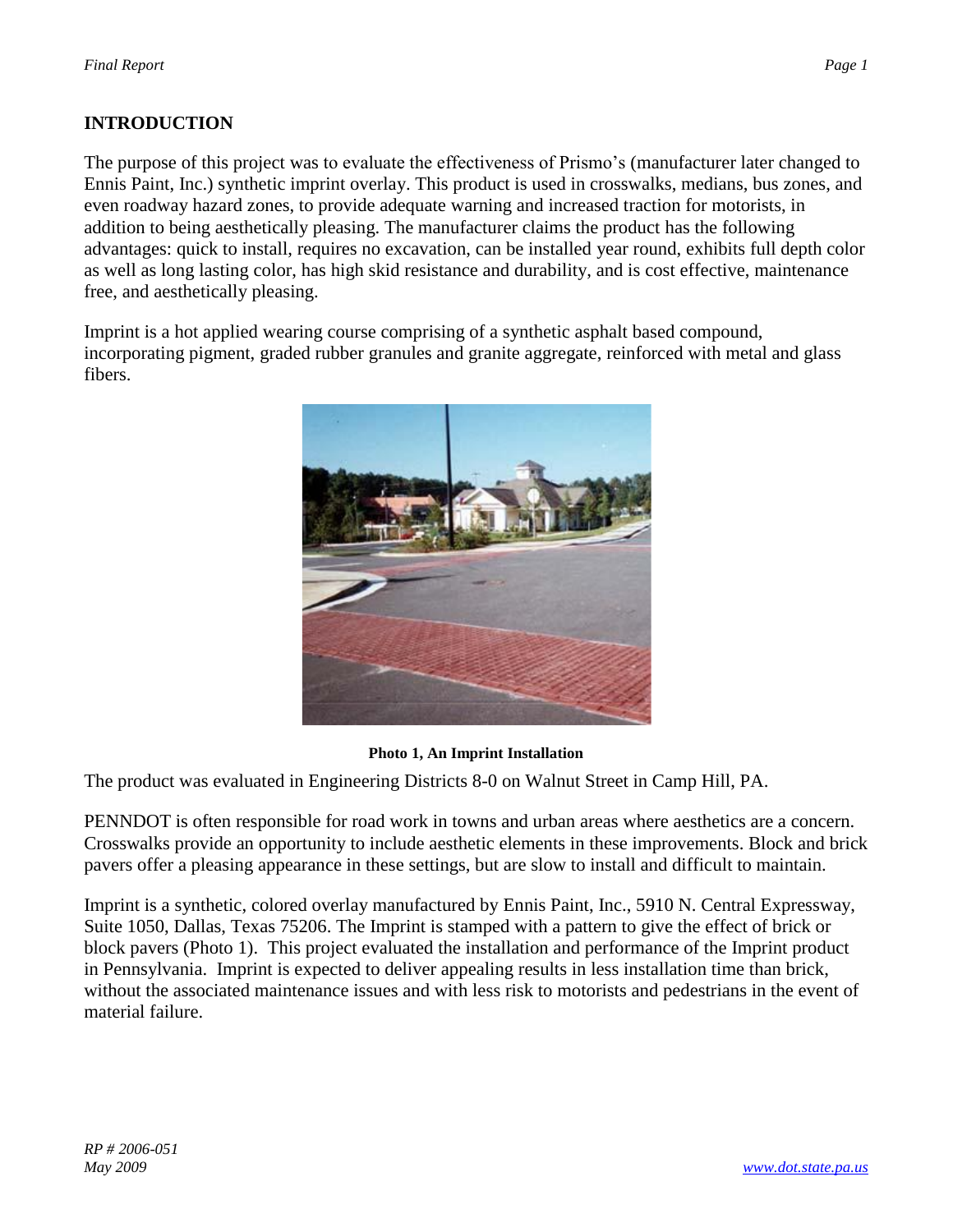# **INTRODUCTION**

The purpose of this project was to evaluate the effectiveness of Prismo's (manufacturer later changed to Ennis Paint, Inc.) synthetic imprint overlay. This product is used in crosswalks, medians, bus zones, and even roadway hazard zones, to provide adequate warning and increased traction for motorists, in addition to being aesthetically pleasing. The manufacturer claims the product has the following advantages: quick to install, requires no excavation, can be installed year round, exhibits full depth color as well as long lasting color, has high skid resistance and durability, and is cost effective, maintenance free, and aesthetically pleasing.

Imprint is a hot applied wearing course comprising of a synthetic asphalt based compound, incorporating pigment, graded rubber granules and granite aggregate, reinforced with metal and glass fibers.



#### **Photo 1, An Imprint Installation**

The product was evaluated in Engineering Districts 8-0 on Walnut Street in Camp Hill, PA.

PENNDOT is often responsible for road work in towns and urban areas where aesthetics are a concern. Crosswalks provide an opportunity to include aesthetic elements in these improvements. Block and brick pavers offer a pleasing appearance in these settings, but are slow to install and difficult to maintain.

Imprint is a synthetic, colored overlay manufactured by Ennis Paint, Inc., 5910 N. Central Expressway, Suite 1050, Dallas, Texas 75206. The Imprint is stamped with a pattern to give the effect of brick or block pavers (Photo 1). This project evaluated the installation and performance of the Imprint product in Pennsylvania. Imprint is expected to deliver appealing results in less installation time than brick, without the associated maintenance issues and with less risk to motorists and pedestrians in the event of material failure.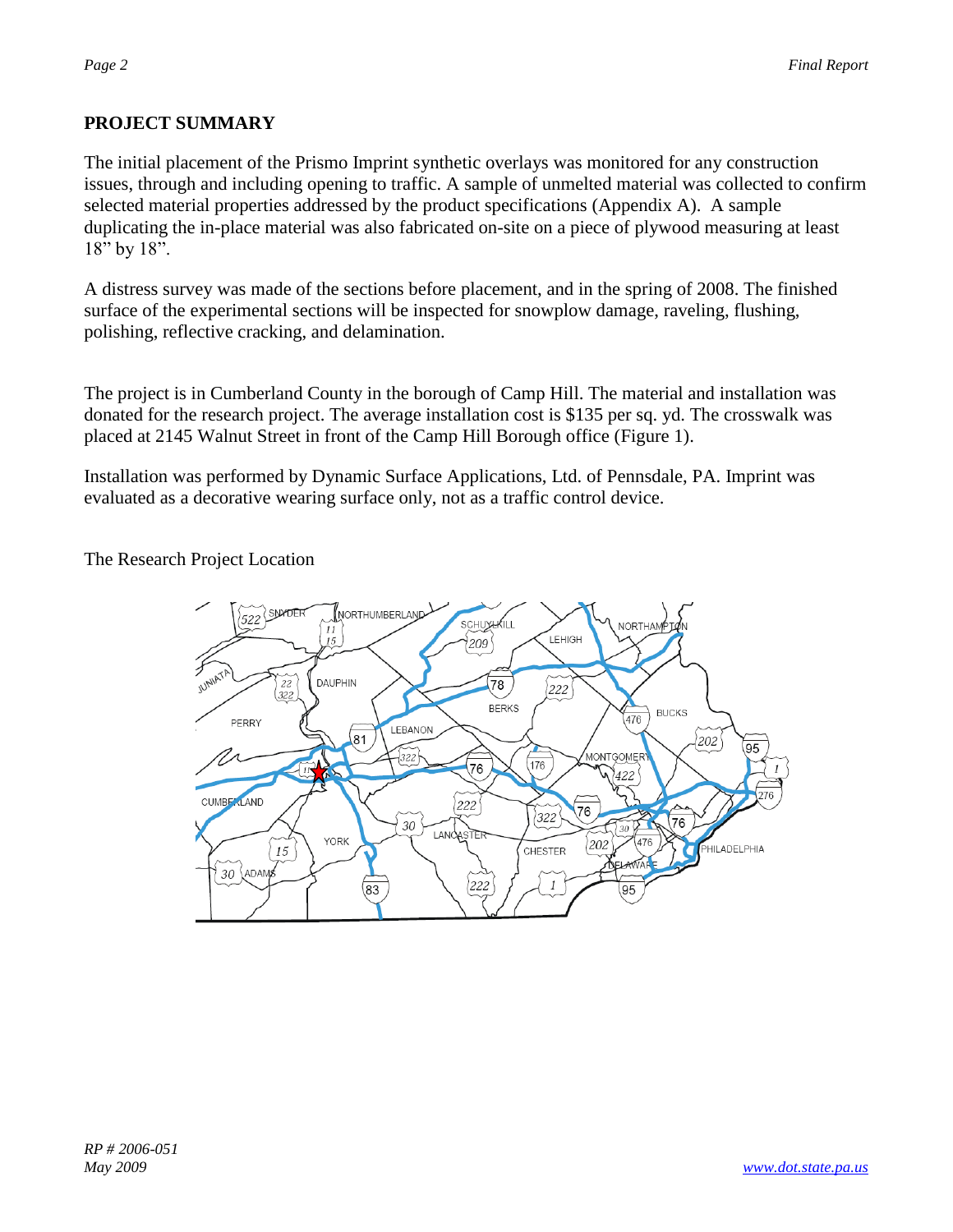# **PROJECT SUMMARY**

The initial placement of the Prismo Imprint synthetic overlays was monitored for any construction issues, through and including opening to traffic. A sample of unmelted material was collected to confirm selected material properties addressed by the product specifications (Appendix A). A sample duplicating the in-place material was also fabricated on-site on a piece of plywood measuring at least 18" by 18".

A distress survey was made of the sections before placement, and in the spring of 2008. The finished surface of the experimental sections will be inspected for snowplow damage, raveling, flushing, polishing, reflective cracking, and delamination.

The project is in Cumberland County in the borough of Camp Hill. The material and installation was donated for the research project. The average installation cost is \$135 per sq. yd. The crosswalk was placed at 2145 Walnut Street in front of the Camp Hill Borough office (Figure 1).

Installation was performed by Dynamic Surface Applications, Ltd. of Pennsdale, PA. Imprint was evaluated as a decorative wearing surface only, not as a traffic control device.

The Research Project Location

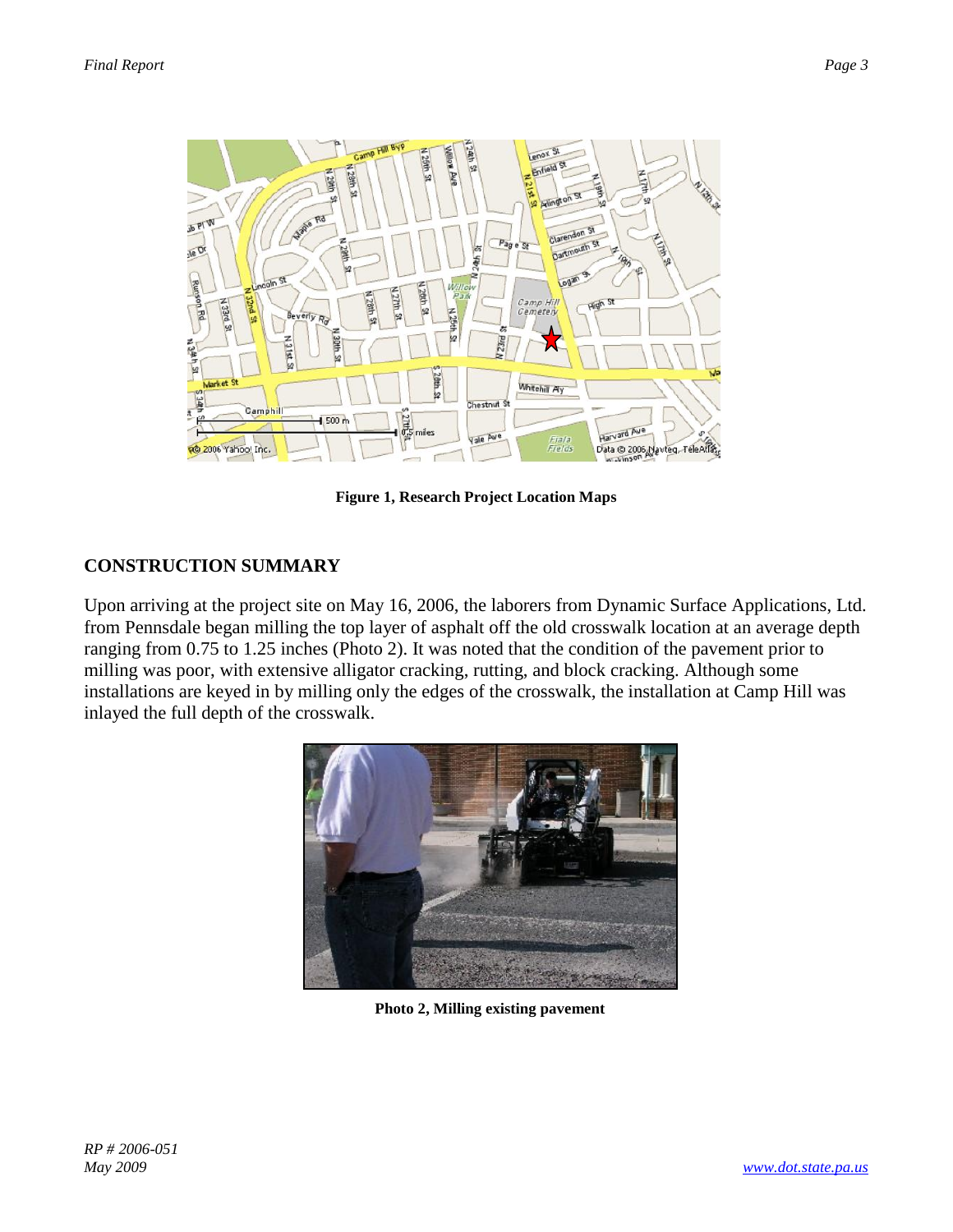

**Figure 1, Research Project Location Maps**

### **CONSTRUCTION SUMMARY**

Upon arriving at the project site on May 16, 2006, the laborers from Dynamic Surface Applications, Ltd. from Pennsdale began milling the top layer of asphalt off the old crosswalk location at an average depth ranging from 0.75 to 1.25 inches (Photo 2). It was noted that the condition of the pavement prior to milling was poor, with extensive alligator cracking, rutting, and block cracking. Although some installations are keyed in by milling only the edges of the crosswalk, the installation at Camp Hill was inlayed the full depth of the crosswalk.



**Photo 2, Milling existing pavement**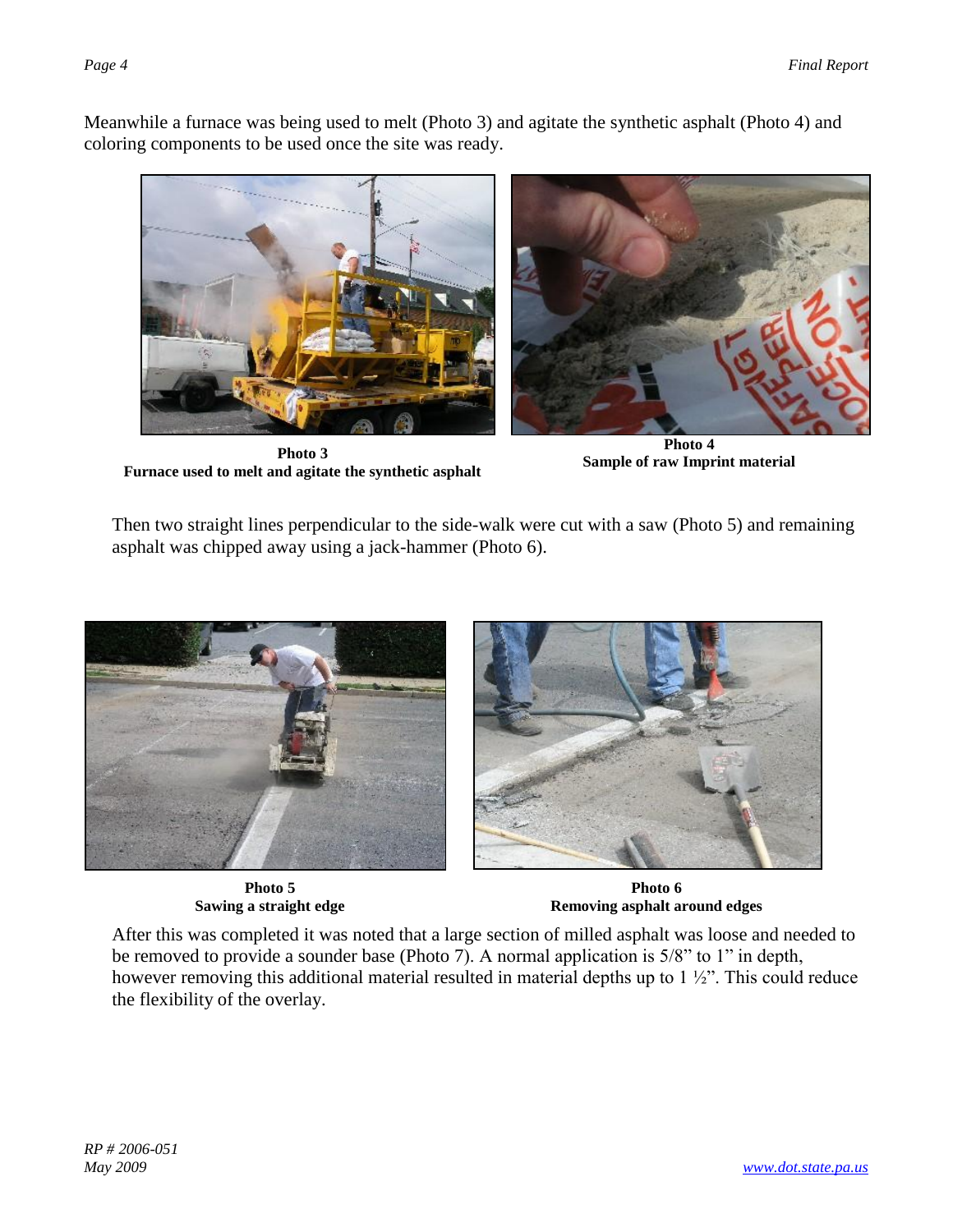Meanwhile a furnace was being used to melt (Photo 3) and agitate the synthetic asphalt (Photo 4) and coloring components to be used once the site was ready.





**Photo 3 Furnace used to melt and agitate the synthetic asphalt**

**Photo 4 Sample of raw Imprint material**

Then two straight lines perpendicular to the side-walk were cut with a saw (Photo 5) and remaining asphalt was chipped away using a jack-hammer (Photo 6).



**Photo 5 Sawing a straight edge**



**Photo 6 Removing asphalt around edges**

After this was completed it was noted that a large section of milled asphalt was loose and needed to be removed to provide a sounder base (Photo 7). A normal application is 5/8" to 1" in depth, however removing this additional material resulted in material depths up to 1  $\frac{1}{2}$ ". This could reduce the flexibility of the overlay.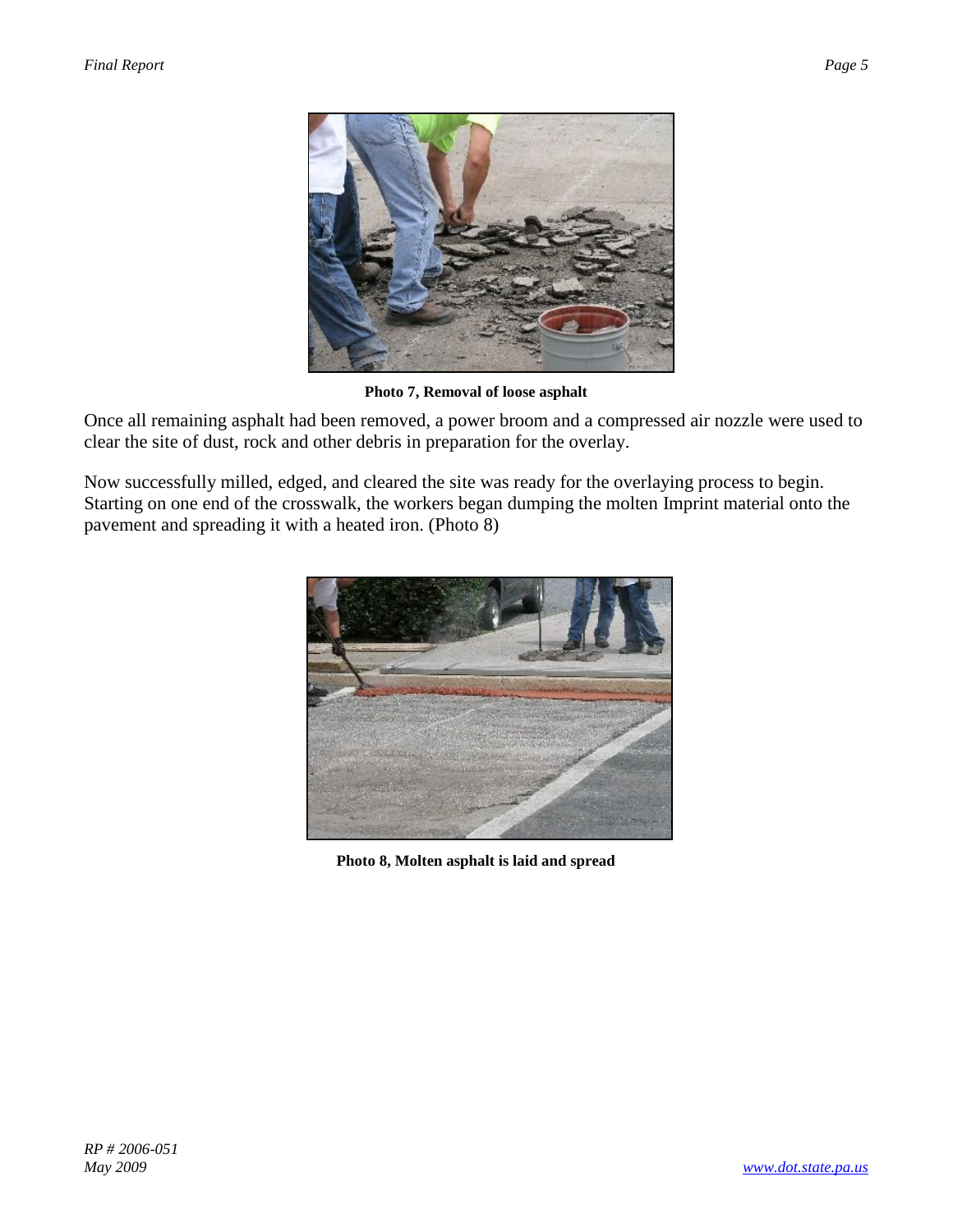

**Photo 7, Removal of loose asphalt**

Once all remaining asphalt had been removed, a power broom and a compressed air nozzle were used to clear the site of dust, rock and other debris in preparation for the overlay.

Now successfully milled, edged, and cleared the site was ready for the overlaying process to begin. Starting on one end of the crosswalk, the workers began dumping the molten Imprint material onto the pavement and spreading it with a heated iron. (Photo 8)



**Photo 8, Molten asphalt is laid and spread**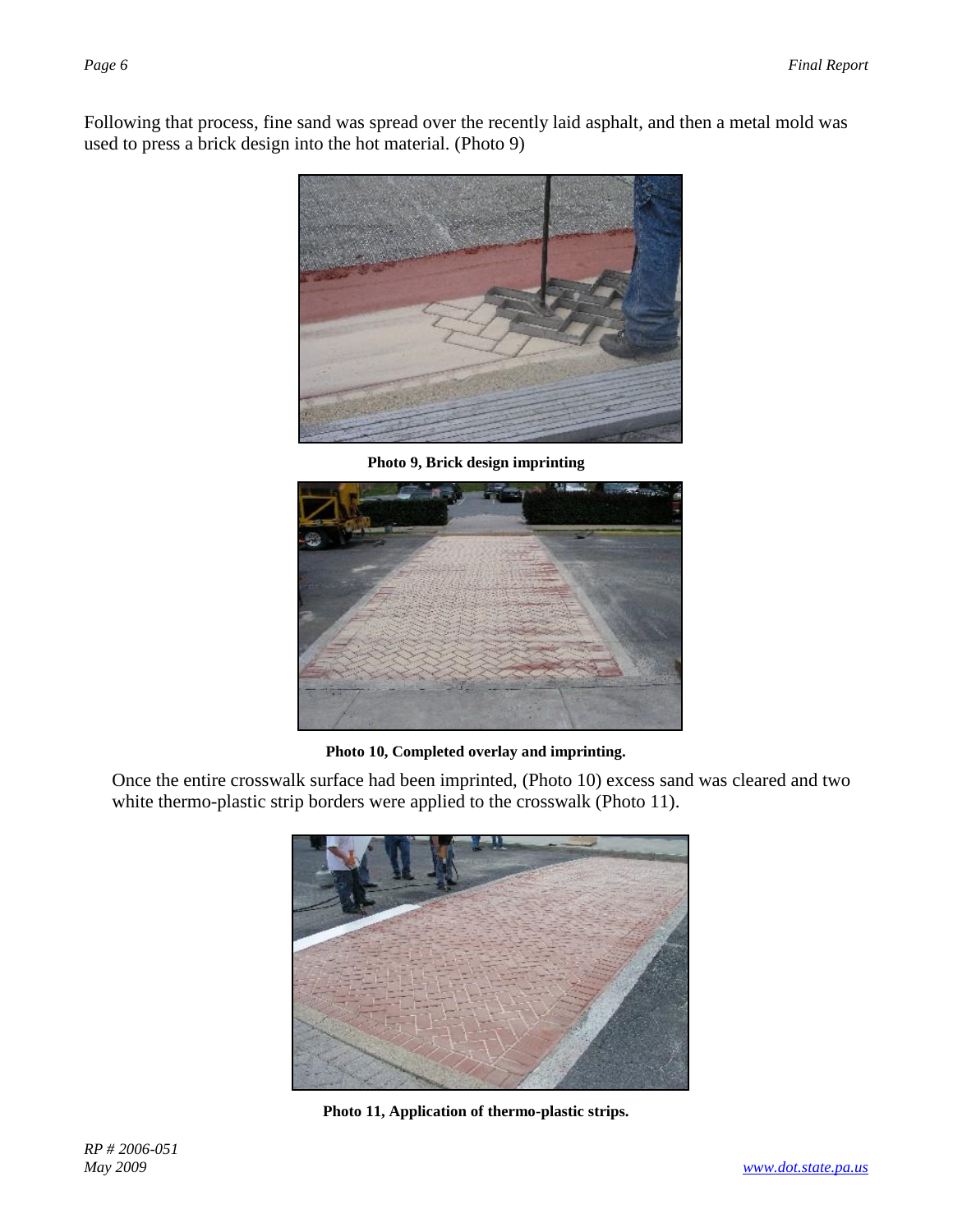Following that process, fine sand was spread over the recently laid asphalt, and then a metal mold was used to press a brick design into the hot material. (Photo 9)



**Photo 9, Brick design imprinting**



**Photo 10, Completed overlay and imprinting.**

Once the entire crosswalk surface had been imprinted, (Photo 10) excess sand was cleared and two white thermo-plastic strip borders were applied to the crosswalk (Photo 11).



**Photo 11, Application of thermo-plastic strips.**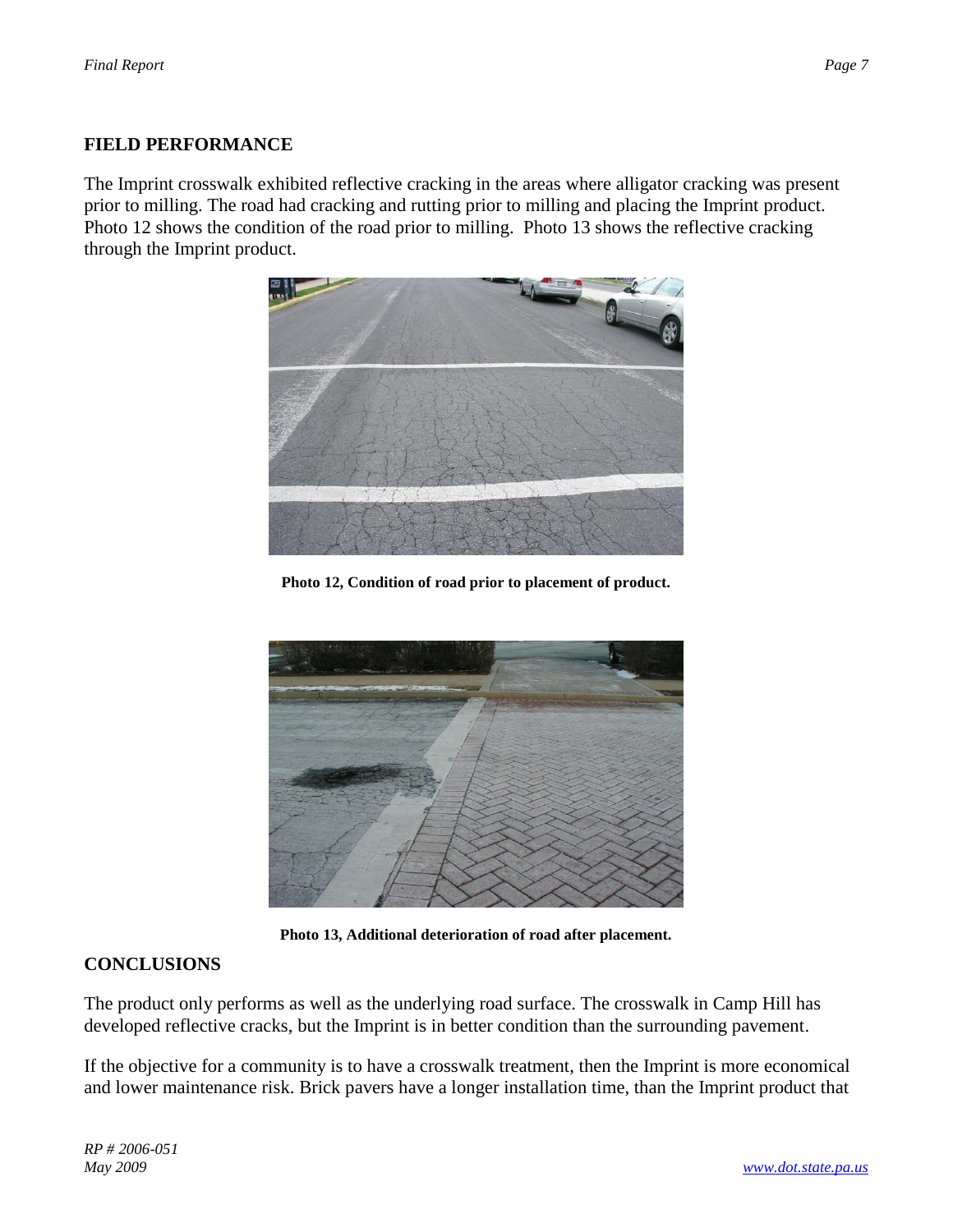The Imprint crosswalk exhibited reflective cracking in the areas where alligator cracking was present prior to milling. The road had cracking and rutting prior to milling and placing the Imprint product. Photo 12 shows the condition of the road prior to milling. Photo 13 shows the reflective cracking through the Imprint product.



**Photo 12, Condition of road prior to placement of product.**



**Photo 13, Additional deterioration of road after placement.**

### **CONCLUSIONS**

The product only performs as well as the underlying road surface. The crosswalk in Camp Hill has developed reflective cracks, but the Imprint is in better condition than the surrounding pavement.

If the objective for a community is to have a crosswalk treatment, then the Imprint is more economical and lower maintenance risk. Brick pavers have a longer installation time, than the Imprint product that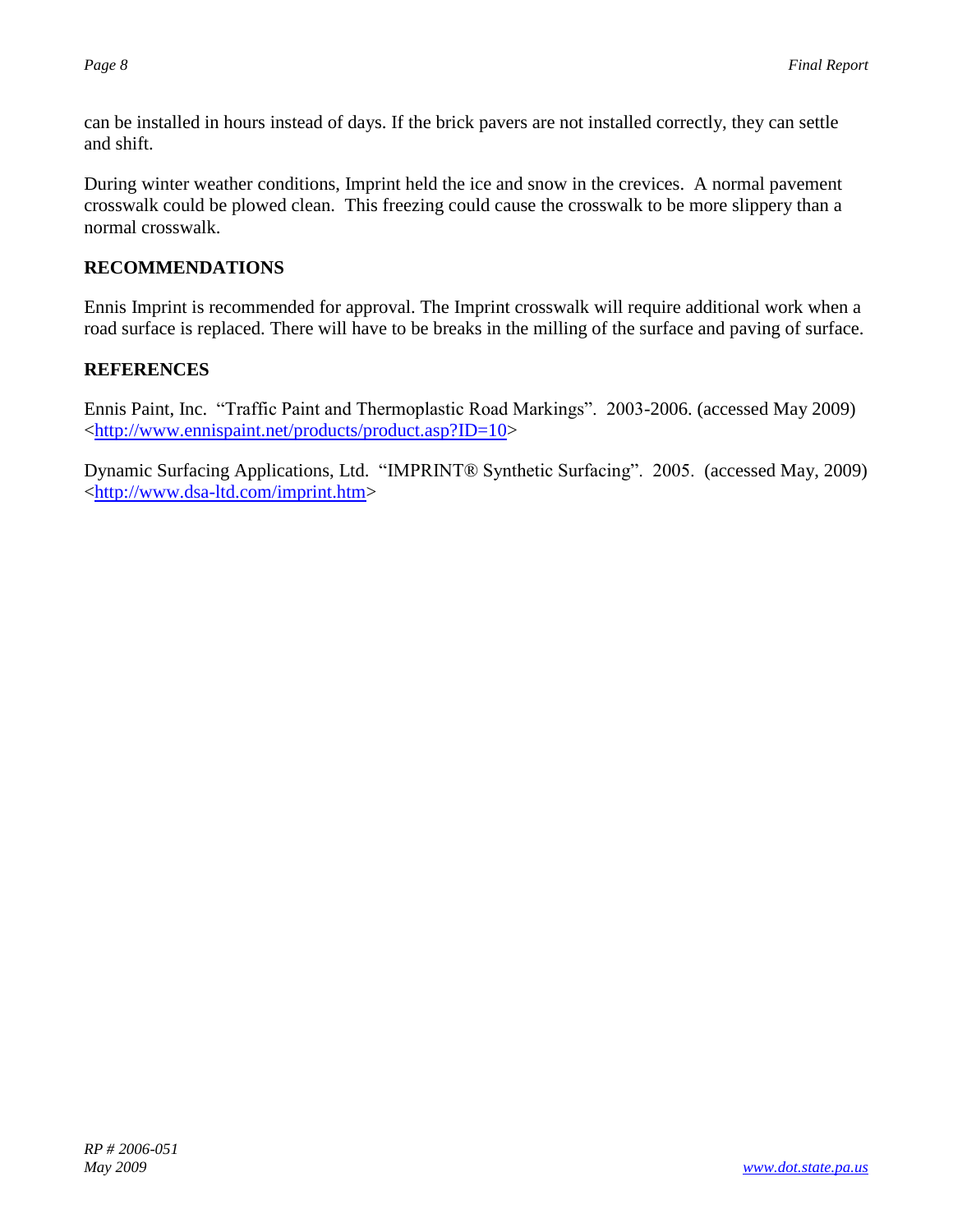can be installed in hours instead of days. If the brick pavers are not installed correctly, they can settle and shift.

During winter weather conditions, Imprint held the ice and snow in the crevices. A normal pavement crosswalk could be plowed clean. This freezing could cause the crosswalk to be more slippery than a normal crosswalk.

### **RECOMMENDATIONS**

Ennis Imprint is recommended for approval. The Imprint crosswalk will require additional work when a road surface is replaced. There will have to be breaks in the milling of the surface and paving of surface.

### **REFERENCES**

Ennis Paint, Inc. "Traffic Paint and Thermoplastic Road Markings". 2003-2006. (accessed May 2009) [<http://www.ennispaint.net/products/product.asp?ID=10>](http://www.ennispaint.net/products/product.asp?ID=10)

Dynamic Surfacing Applications, Ltd. "IMPRINT® Synthetic Surfacing". 2005. (accessed May, 2009) [<http://www.dsa-ltd.com/imprint.htm>](http://www.dsa-ltd.com/imprint.htm)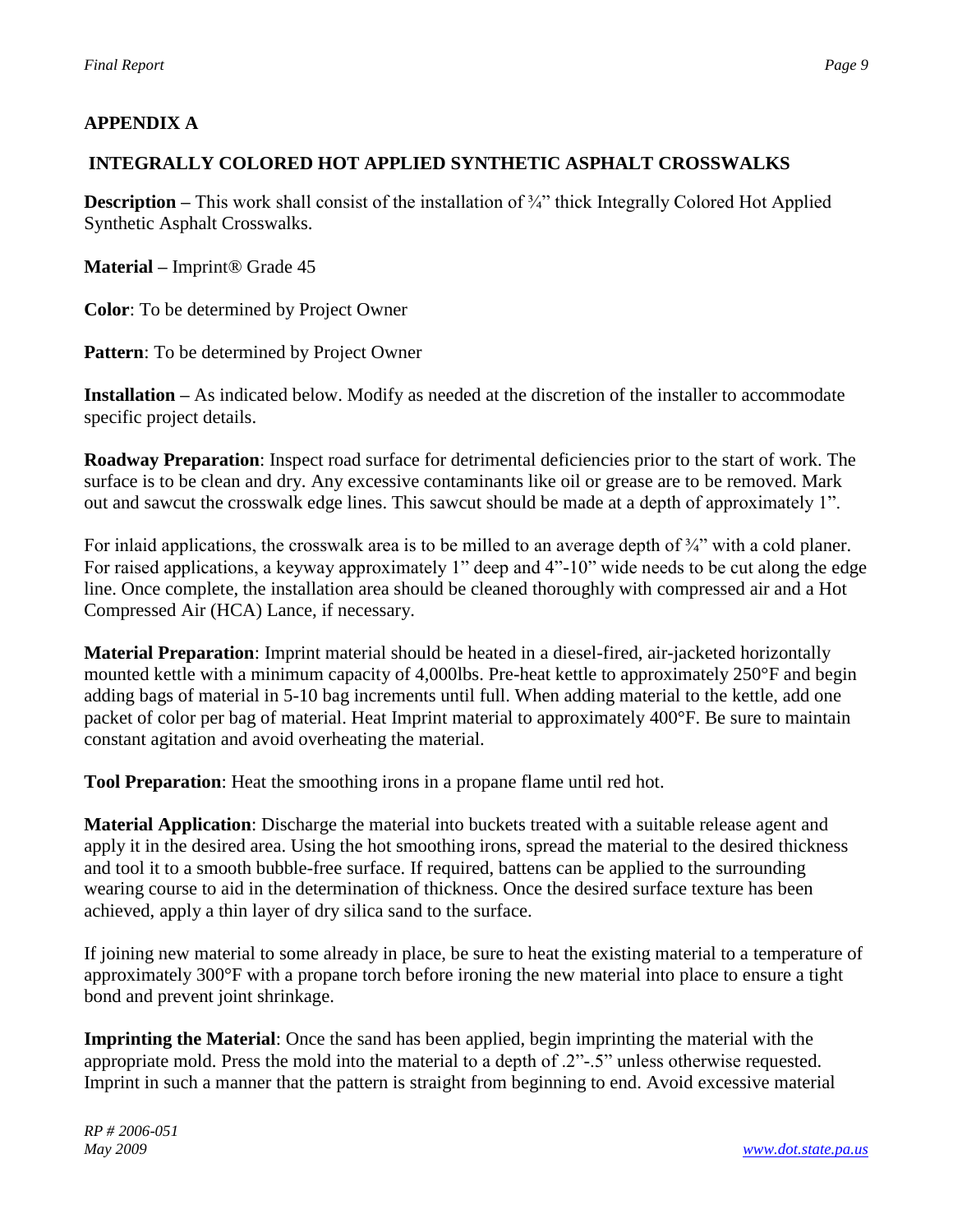### **APPENDIX A**

#### **INTEGRALLY COLORED HOT APPLIED SYNTHETIC ASPHALT CROSSWALKS**

**Description** – This work shall consist of the installation of <sup>3</sup>/4" thick Integrally Colored Hot Applied Synthetic Asphalt Crosswalks.

**Material –** Imprint® Grade 45

**Color**: To be determined by Project Owner

**Pattern**: To be determined by Project Owner

**Installation –** As indicated below. Modify as needed at the discretion of the installer to accommodate specific project details.

**Roadway Preparation**: Inspect road surface for detrimental deficiencies prior to the start of work. The surface is to be clean and dry. Any excessive contaminants like oil or grease are to be removed. Mark out and sawcut the crosswalk edge lines. This sawcut should be made at a depth of approximately 1".

For inlaid applications, the crosswalk area is to be milled to an average depth of  $\frac{3}{4}$ " with a cold planer. For raised applications, a keyway approximately 1" deep and 4"-10" wide needs to be cut along the edge line. Once complete, the installation area should be cleaned thoroughly with compressed air and a Hot Compressed Air (HCA) Lance, if necessary.

**Material Preparation**: Imprint material should be heated in a diesel-fired, air-jacketed horizontally mounted kettle with a minimum capacity of 4,000lbs. Pre-heat kettle to approximately 250°F and begin adding bags of material in 5-10 bag increments until full. When adding material to the kettle, add one packet of color per bag of material. Heat Imprint material to approximately 400°F. Be sure to maintain constant agitation and avoid overheating the material.

**Tool Preparation**: Heat the smoothing irons in a propane flame until red hot.

**Material Application**: Discharge the material into buckets treated with a suitable release agent and apply it in the desired area. Using the hot smoothing irons, spread the material to the desired thickness and tool it to a smooth bubble-free surface. If required, battens can be applied to the surrounding wearing course to aid in the determination of thickness. Once the desired surface texture has been achieved, apply a thin layer of dry silica sand to the surface.

If joining new material to some already in place, be sure to heat the existing material to a temperature of approximately 300°F with a propane torch before ironing the new material into place to ensure a tight bond and prevent joint shrinkage.

**Imprinting the Material**: Once the sand has been applied, begin imprinting the material with the appropriate mold. Press the mold into the material to a depth of .2"-.5" unless otherwise requested. Imprint in such a manner that the pattern is straight from beginning to end. Avoid excessive material